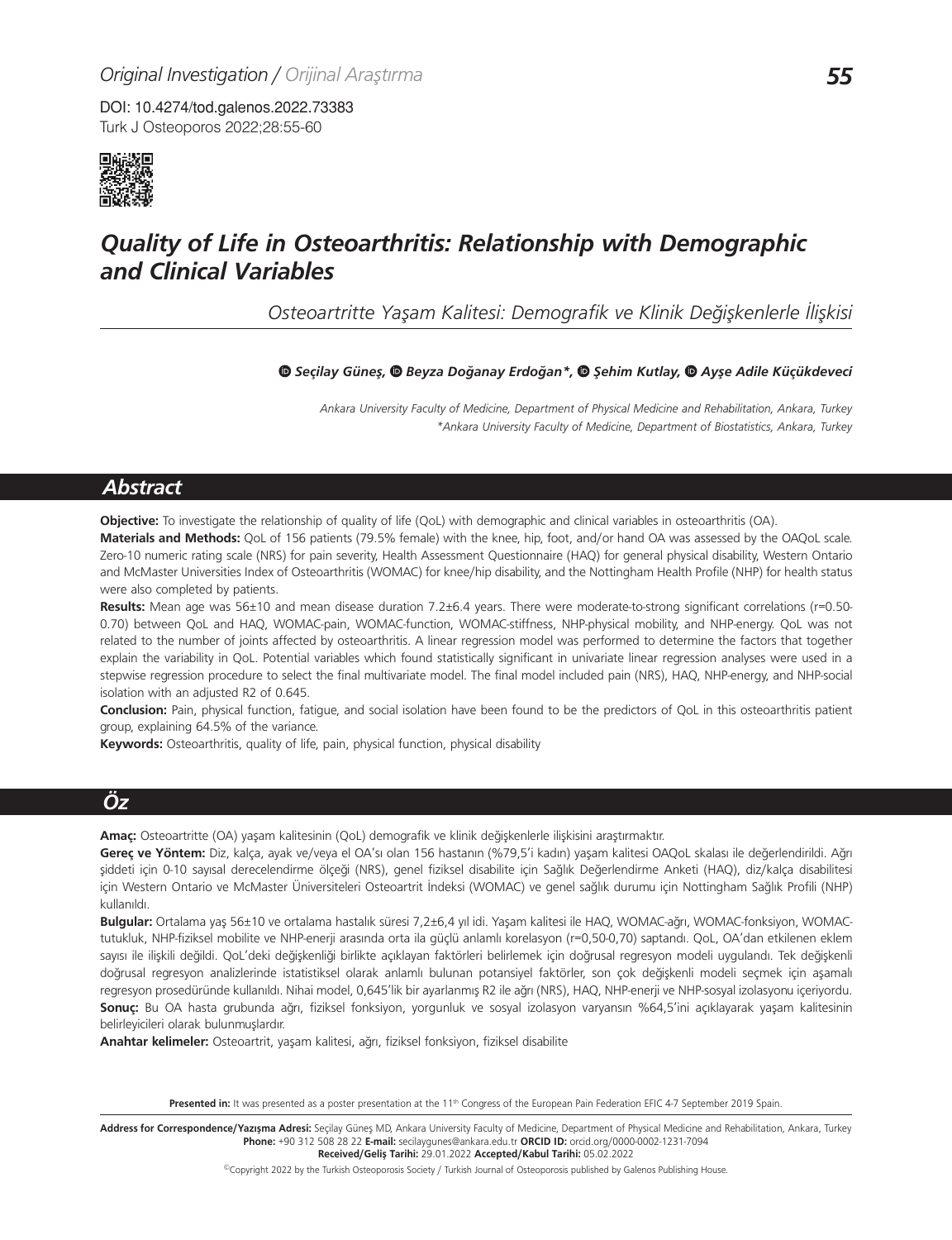Turk J Osteoporos 2022;28:55-60 DOI: 10.4274/tod.galenos.2022.73383



# *Quality of Life in Osteoarthritis: Relationship with Demographic and Clinical Variables*

*Osteoartritte Yaşam Kalitesi: Demografik ve Klinik Değişkenlerle İlişkisi*

#### *Seçilay Güneş,Beyza Doğanay Erdoğan\*,Şehim Kutlay,Ayşe Adile Küçükdeveci*

*Ankara University Faculty of Medicine, Department of Physical Medicine and Rehabilitation, Ankara, Turkey \*Ankara University Faculty of Medicine, Department of Biostatistics, Ankara, Turkey*

## *Abstract*

**Objective:** To investigate the relationship of quality of life (QoL) with demographic and clinical variables in osteoarthritis (OA).

**Materials and Methods:** QoL of 156 patients (79.5% female) with the knee, hip, foot, and/or hand OA was assessed by the OAQoL scale. Zero-10 numeric rating scale (NRS) for pain severity, Health Assessment Questionnaire (HAQ) for general physical disability, Western Ontario and McMaster Universities Index of Osteoarthritis (WOMAC) for knee/hip disability, and the Nottingham Health Profile (NHP) for health status were also completed by patients.

**Results:** Mean age was 56±10 and mean disease duration 7.2±6.4 years. There were moderate-to-strong significant correlations (r=0.50- 0.70) between QoL and HAQ, WOMAC-pain, WOMAC-function, WOMAC-stiffness, NHP-physical mobility, and NHP-energy. QoL was not related to the number of joints affected by osteoarthritis. A linear regression model was performed to determine the factors that together explain the variability in QoL. Potential variables which found statistically significant in univariate linear regression analyses were used in a stepwise regression procedure to select the final multivariate model. The final model included pain (NRS), HAQ, NHP-energy, and NHP-social isolation with an adjusted R2 of 0.645.

**Conclusion:** Pain, physical function, fatigue, and social isolation have been found to be the predictors of QoL in this osteoarthritis patient group, explaining 64.5% of the variance.

**Keywords:** Osteoarthritis, quality of life, pain, physical function, physical disability

## *Öz*

**Amaç:** Osteoartritte (OA) yaşam kalitesinin (QoL) demografik ve klinik değişkenlerle ilişkisini araştırmaktır.

**Gereç ve Yöntem:** Diz, kalça, ayak ve/veya el OA'sı olan 156 hastanın (%79,5'i kadın) yaşam kalitesi OAQoL skalası ile değerlendirildi. Ağrı şiddeti için 0-10 sayısal derecelendirme ölçeği (NRS), genel fiziksel disabilite için Sağlık Değerlendirme Anketi (HAQ), diz/kalça disabilitesi için Western Ontario ve McMaster Üniversiteleri Osteoartrit İndeksi (WOMAC) ve genel sağlık durumu için Nottingham Sağlık Profili (NHP) kullanıldı.

**Bulgular:** Ortalama yaş 56±10 ve ortalama hastalık süresi 7,2±6,4 yıl idi. Yaşam kalitesi ile HAQ, WOMAC-ağrı, WOMAC-fonksiyon, WOMACtutukluk, NHP-fiziksel mobilite ve NHP-enerji arasında orta ila güçlü anlamlı korelasyon (r=0,50-0,70) saptandı. QoL, OA'dan etkilenen eklem sayısı ile ilişkili değildi. QoL'deki değişkenliği birlikte açıklayan faktörleri belirlemek için doğrusal regresyon modeli uygulandı. Tek değişkenli doğrusal regresyon analizlerinde istatistiksel olarak anlamlı bulunan potansiyel faktörler, son çok değişkenli modeli seçmek için aşamalı regresyon prosedüründe kullanıldı. Nihai model, 0,645'lik bir ayarlanmış R2 ile ağrı (NRS), HAQ, NHP-enerji ve NHP-sosyal izolasyonu içeriyordu. **Sonuç:** Bu OA hasta grubunda ağrı, fiziksel fonksiyon, yorgunluk ve sosyal izolasyon varyansın %64,5'ini açıklayarak yaşam kalitesinin belirleyicileri olarak bulunmuşlardır.

**Anahtar kelimeler:** Osteoartrit, yaşam kalitesi, ağrı, fiziksel fonksiyon, fiziksel disabilite

Presented in: It was presented as a poster presentation at the 11<sup>th</sup> Congress of the European Pain Federation EFIC 4-7 September 2019 Spain.

Address for Correspondence/Yazışma Adresi: Seçilay Güneş MD, Ankara University Faculty of Medicine, Department of Physical Medicine and Rehabilitation, Ankara, Turkey **Phone:** +90 312 508 28 22 **E-mail:** secilaygunes@ankara.edu.tr **ORCID ID:** orcid.org/0000-0002-1231-7094 **Received/Geliş Tarihi:** 29.01.2022 **Accepted/Kabul Tarihi:** 05.02.2022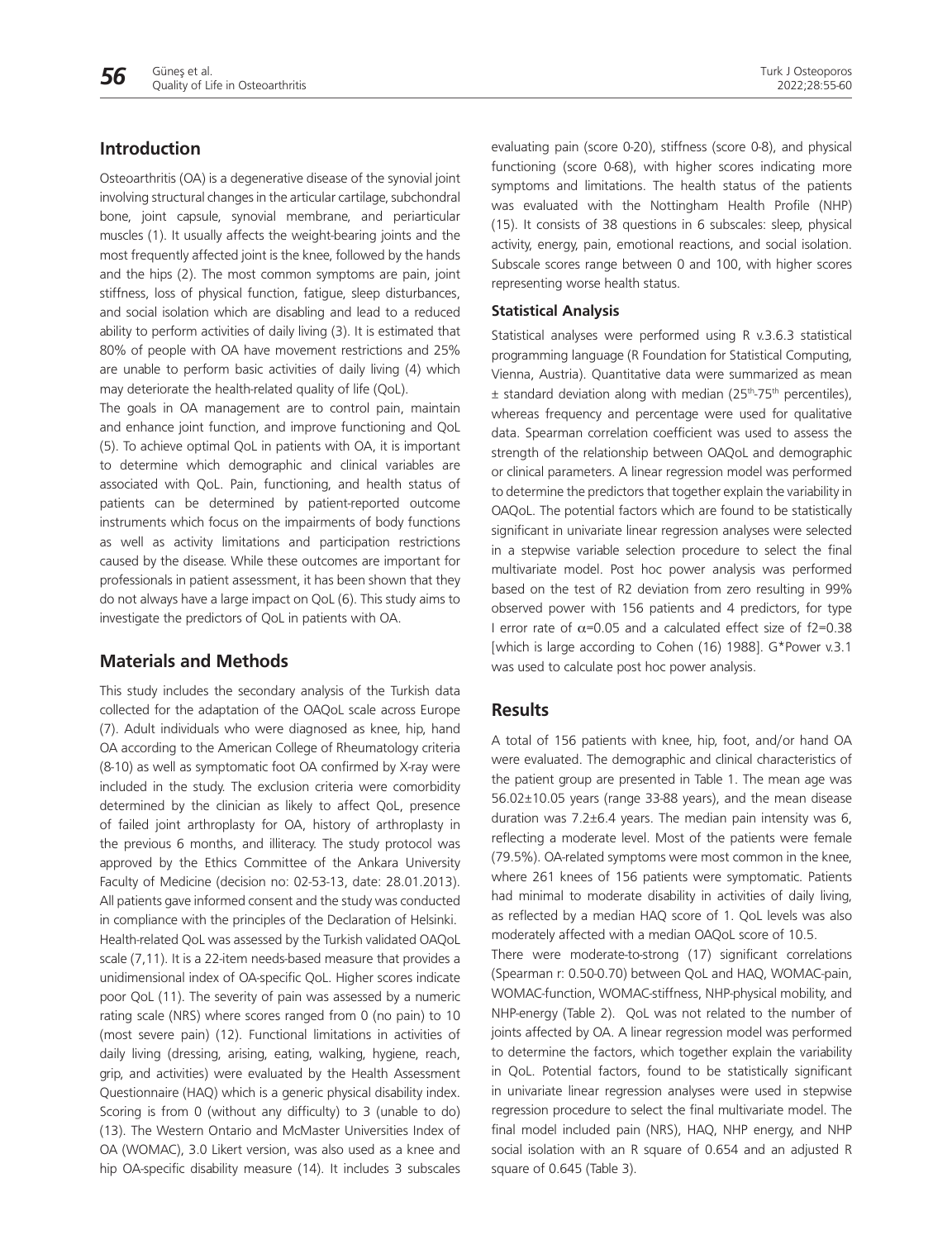#### **Introduction**

Osteoarthritis (OA) is a degenerative disease of the synovial joint involving structural changes in the articular cartilage, subchondral bone, joint capsule, synovial membrane, and periarticular muscles (1). It usually affects the weight-bearing joints and the most frequently affected joint is the knee, followed by the hands and the hips (2). The most common symptoms are pain, joint stiffness, loss of physical function, fatigue, sleep disturbances, and social isolation which are disabling and lead to a reduced ability to perform activities of daily living (3). It is estimated that 80% of people with OA have movement restrictions and 25% are unable to perform basic activities of daily living (4) which may deteriorate the health-related quality of life (QoL).

The goals in OA management are to control pain, maintain and enhance joint function, and improve functioning and QoL (5). To achieve optimal QoL in patients with OA, it is important to determine which demographic and clinical variables are associated with QoL. Pain, functioning, and health status of patients can be determined by patient-reported outcome instruments which focus on the impairments of body functions as well as activity limitations and participation restrictions caused by the disease. While these outcomes are important for professionals in patient assessment, it has been shown that they do not always have a large impact on QoL (6). This study aims to investigate the predictors of QoL in patients with OA.

#### **Materials and Methods**

This study includes the secondary analysis of the Turkish data collected for the adaptation of the OAQoL scale across Europe (7). Adult individuals who were diagnosed as knee, hip, hand OA according to the American College of Rheumatology criteria (8-10) as well as symptomatic foot OA confirmed by X-ray were included in the study. The exclusion criteria were comorbidity determined by the clinician as likely to affect QoL, presence of failed joint arthroplasty for OA, history of arthroplasty in the previous 6 months, and illiteracy. The study protocol was approved by the Ethics Committee of the Ankara University Faculty of Medicine (decision no: 02-53-13, date: 28.01.2013). All patients gave informed consent and the study was conducted in compliance with the principles of the Declaration of Helsinki. Health-related QoL was assessed by the Turkish validated OAQoL scale (7,11). It is a 22-item needs-based measure that provides a unidimensional index of OA-specific QoL. Higher scores indicate poor QoL (11). The severity of pain was assessed by a numeric rating scale (NRS) where scores ranged from 0 (no pain) to 10 (most severe pain) (12). Functional limitations in activities of daily living (dressing, arising, eating, walking, hygiene, reach, grip, and activities) were evaluated by the Health Assessment Questionnaire (HAQ) which is a generic physical disability index. Scoring is from 0 (without any difficulty) to 3 (unable to do) (13). The Western Ontario and McMaster Universities Index of OA (WOMAC), 3.0 Likert version, was also used as a knee and hip OA-specific disability measure (14). It includes 3 subscales

evaluating pain (score 0-20), stiffness (score 0-8), and physical functioning (score 0-68), with higher scores indicating more symptoms and limitations. The health status of the patients was evaluated with the Nottingham Health Profile (NHP) (15). It consists of 38 questions in 6 subscales: sleep, physical activity, energy, pain, emotional reactions, and social isolation. Subscale scores range between 0 and 100, with higher scores representing worse health status.

#### **Statistical Analysis**

Statistical analyses were performed using R v.3.6.3 statistical programming language (R Foundation for Statistical Computing, Vienna, Austria). Quantitative data were summarized as mean  $±$  standard deviation along with median (25<sup>th</sup>-75<sup>th</sup> percentiles), whereas frequency and percentage were used for qualitative data. Spearman correlation coefficient was used to assess the strength of the relationship between OAQoL and demographic or clinical parameters. A linear regression model was performed to determine the predictors that together explain the variability in OAQoL. The potential factors which are found to be statistically significant in univariate linear regression analyses were selected in a stepwise variable selection procedure to select the final multivariate model. Post hoc power analysis was performed based on the test of R2 deviation from zero resulting in 99% observed power with 156 patients and 4 predictors, for type I error rate of  $\alpha$ =0.05 and a calculated effect size of f2=0.38 [which is large according to Cohen (16) 1988]. G\*Power v.3.1 was used to calculate post hoc power analysis.

#### **Results**

A total of 156 patients with knee, hip, foot, and/or hand OA were evaluated. The demographic and clinical characteristics of the patient group are presented in Table 1. The mean age was 56.02±10.05 years (range 33-88 years), and the mean disease duration was 7.2±6.4 years. The median pain intensity was 6, reflecting a moderate level. Most of the patients were female (79.5%). OA-related symptoms were most common in the knee, where 261 knees of 156 patients were symptomatic. Patients had minimal to moderate disability in activities of daily living, as reflected by a median HAQ score of 1. QoL levels was also moderately affected with a median OAQoL score of 10.5.

There were moderate-to-strong (17) significant correlations (Spearman r: 0.50-0.70) between QoL and HAQ, WOMAC-pain, WOMAC-function, WOMAC-stiffness, NHP-physical mobility, and NHP-energy (Table 2). QoL was not related to the number of joints affected by OA. A linear regression model was performed to determine the factors, which together explain the variability in QoL. Potential factors, found to be statistically significant in univariate linear regression analyses were used in stepwise regression procedure to select the final multivariate model. The final model included pain (NRS), HAQ, NHP energy, and NHP social isolation with an R square of 0.654 and an adjusted R square of 0.645 (Table 3).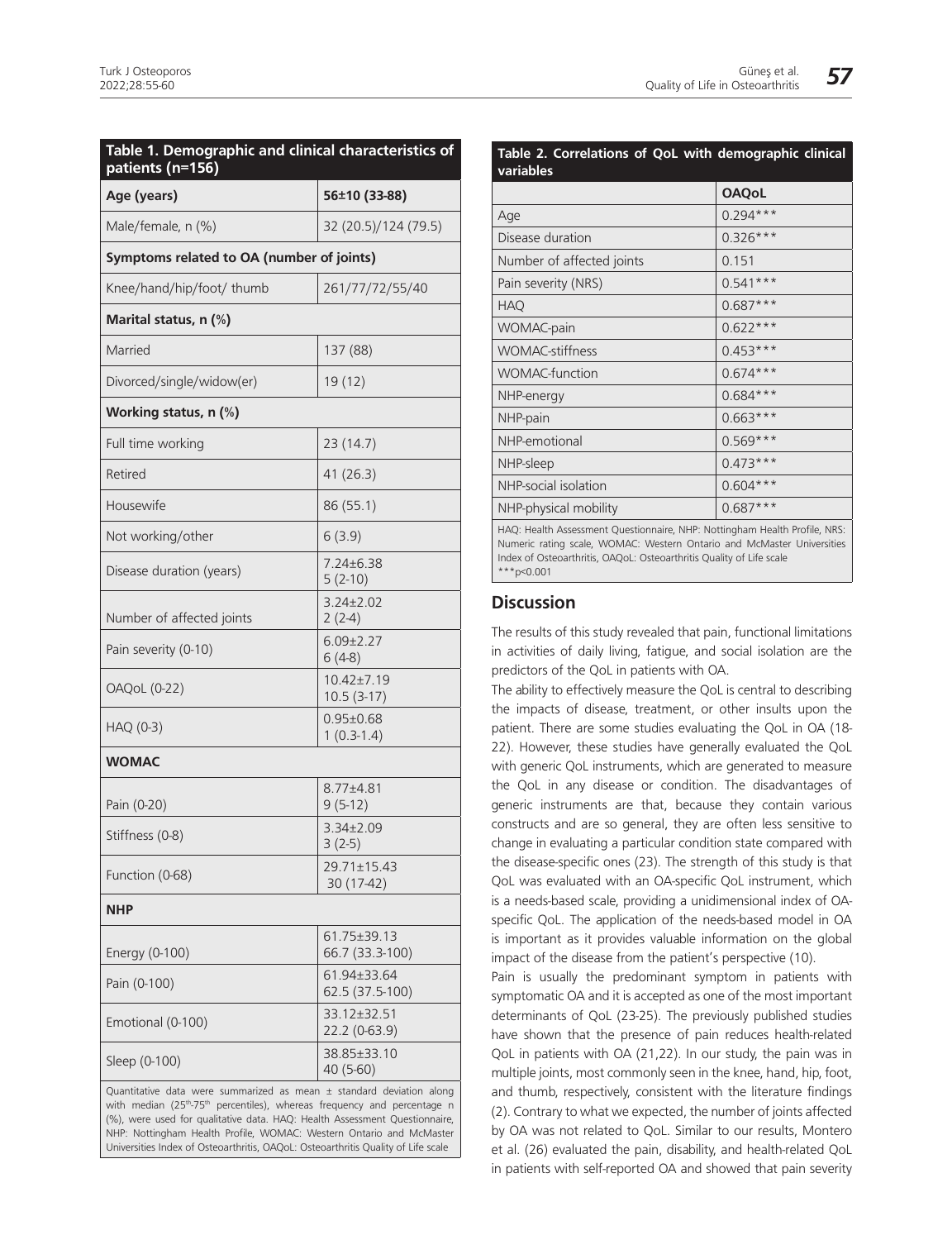| Age (years)                               | 56±10 (33-88)                    |
|-------------------------------------------|----------------------------------|
| Male/female, n (%)                        | 32 (20.5)/124 (79.5)             |
| Symptoms related to OA (number of joints) |                                  |
| Knee/hand/hip/foot/ thumb                 | 261/77/72/55/40                  |
| Marital status, n (%)                     |                                  |
| Married                                   | 137 (88)                         |
| Divorced/single/widow(er)                 | 19(12)                           |
| Working status, n (%)                     |                                  |
| Full time working                         | 23 (14.7)                        |
| Retired                                   | 41(26.3)                         |
| Housewife                                 | 86 (55.1)                        |
| Not working/other                         | 6(3.9)                           |
| Disease duration (years)                  | 7.24±6.38<br>$5(2-10)$           |
| Number of affected joints                 | $3.24 \pm 2.02$<br>$2(2-4)$      |
| Pain severity (0-10)                      | $6.09 \pm 2.27$<br>$6(4-8)$      |
| <b>OAQoL</b> (0-22)                       | $10.42 \pm 7.19$<br>$10.5(3-17)$ |
| HAQ (0-3)                                 | $0.95 \pm 0.68$<br>$1(0.3-1.4)$  |
| <b>WOMAC</b>                              |                                  |
| Pain (0-20)                               | 8.77±4.81<br>$9(5-12)$           |
| Stiffness (0-8)                           | 3.34±2.09<br>$3(2-5)$            |
| Function (0-68)                           | 29.71±15.43<br>30 (17-42)        |
| NHP                                       |                                  |
| Energy (0-100)                            | 61.75±39.13<br>66.7 (33.3-100)   |
| Pain (0-100)                              | 61.94±33.64<br>62.5 (37.5-100)   |
| Emotional (0-100)                         | 33.12±32.51<br>22.2 (0-63.9)     |
| Sleep (0-100)                             | 38.85±33.10<br>40 (5-60)         |

with median (25<sup>th</sup>-75<sup>th</sup> percentiles), whereas frequency and percentage n (%), were used for qualitative data. HAQ: Health Assessment Questionnaire, NHP: Nottingham Health Profile, WOMAC: Western Ontario and McMaster Universities Index of Osteoarthritis, OAQoL: Osteoarthritis Quality of Life scale

| Table 2. Correlations of QoL with demographic clinical<br>variables        |              |  |  |  |
|----------------------------------------------------------------------------|--------------|--|--|--|
|                                                                            | <b>OAQoL</b> |  |  |  |
| Age                                                                        | $0.294***$   |  |  |  |
| Disease duration                                                           | $0.326***$   |  |  |  |
| Number of affected joints                                                  | 0.151        |  |  |  |
| Pain severity (NRS)                                                        | $0.541***$   |  |  |  |
| <b>HAQ</b>                                                                 | $0.687***$   |  |  |  |
| <b>WOMAC-pain</b>                                                          | $0.622***$   |  |  |  |
| <b>WOMAC-stiffness</b>                                                     | $0.453***$   |  |  |  |
| <b>WOMAC-function</b>                                                      | $0.674***$   |  |  |  |
| NHP-energy                                                                 | $0.684***$   |  |  |  |
| NHP-pain                                                                   | $0.663***$   |  |  |  |
| NHP-emotional                                                              | $0.569***$   |  |  |  |
| NHP-sleep                                                                  | $0.473***$   |  |  |  |
| NHP-social isolation                                                       | $0.604***$   |  |  |  |
| NHP-physical mobility                                                      | $0.687***$   |  |  |  |
| HAQ: Health Assessment Questionnaire, NHP: Nottingham Health Profile, NRS: |              |  |  |  |

Numeric rating scale, WOMAC: Western Ontario and McMaster Universities Index of Osteoarthritis, OAQoL: Osteoarthritis Quality of Life scale  $***p<0.001$ 

### **Discussion**

The results of this study revealed that pain, functional limitations in activities of daily living, fatigue, and social isolation are the predictors of the QoL in patients with OA.

The ability to effectively measure the QoL is central to describing the impacts of disease, treatment, or other insults upon the patient. There are some studies evaluating the QoL in OA (18- 22). However, these studies have generally evaluated the QoL with generic QoL instruments, which are generated to measure the QoL in any disease or condition. The disadvantages of generic instruments are that, because they contain various constructs and are so general, they are often less sensitive to change in evaluating a particular condition state compared with the disease-specific ones (23). The strength of this study is that QoL was evaluated with an OA-specific QoL instrument, which is a needs-based scale, providing a unidimensional index of OAspecific QoL. The application of the needs-based model in OA is important as it provides valuable information on the global impact of the disease from the patient's perspective (10).

Pain is usually the predominant symptom in patients with symptomatic OA and it is accepted as one of the most important determinants of QoL (23-25). The previously published studies have shown that the presence of pain reduces health-related QoL in patients with OA (21,22). In our study, the pain was in multiple joints, most commonly seen in the knee, hand, hip, foot, and thumb, respectively, consistent with the literature findings (2). Contrary to what we expected, the number of joints affected by OA was not related to QoL. Similar to our results, Montero et al. (26) evaluated the pain, disability, and health-related QoL in patients with self-reported OA and showed that pain severity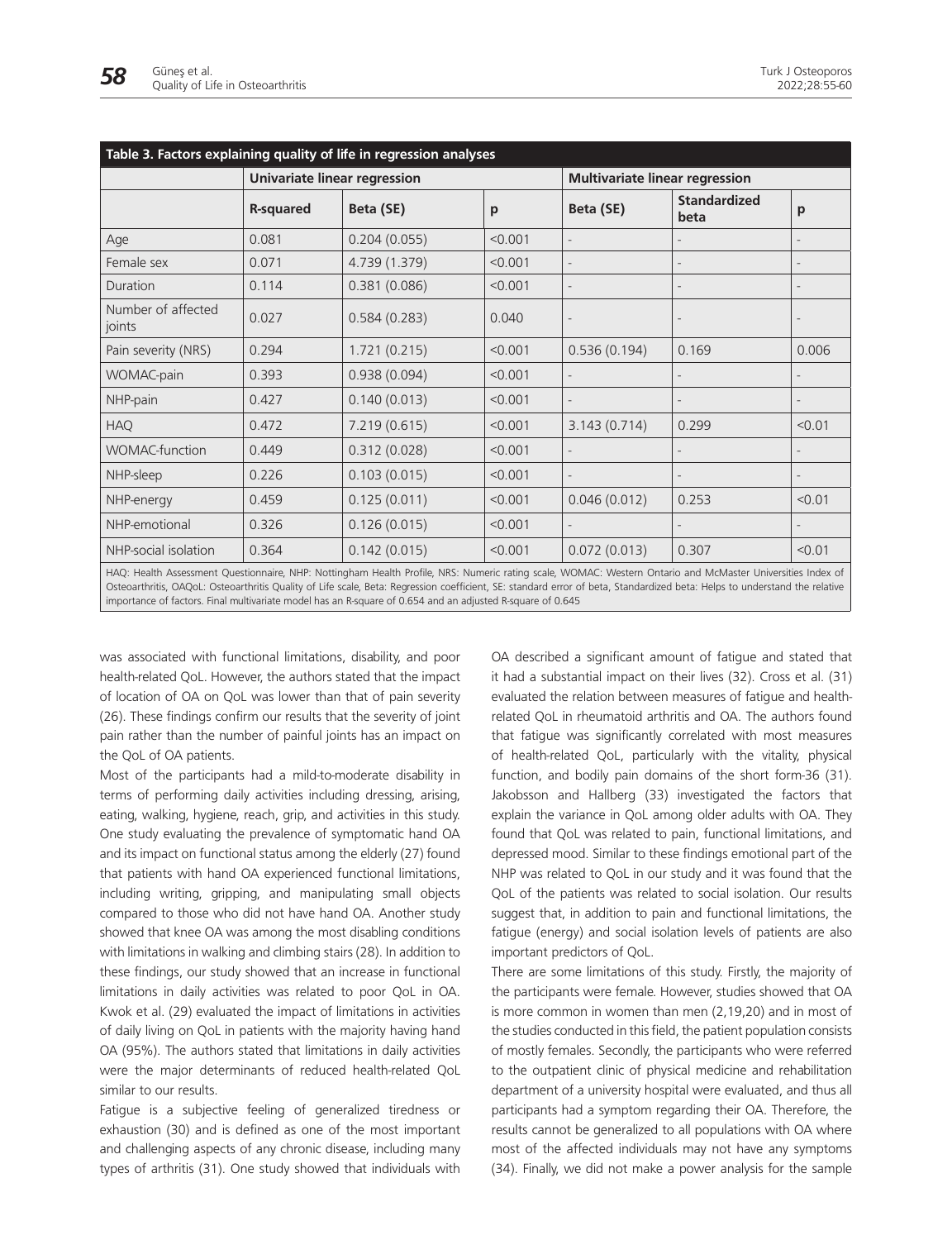|                                                                                                                                                                                                                                                                                                                                                                                                                                                        | Univariate linear regression |               |         |              | <b>Multivariate linear regression</b> |        |  |
|--------------------------------------------------------------------------------------------------------------------------------------------------------------------------------------------------------------------------------------------------------------------------------------------------------------------------------------------------------------------------------------------------------------------------------------------------------|------------------------------|---------------|---------|--------------|---------------------------------------|--------|--|
|                                                                                                                                                                                                                                                                                                                                                                                                                                                        | <b>R-squared</b>             | Beta (SE)     | p       | Beta (SE)    | <b>Standardized</b><br>beta           | p      |  |
| Age                                                                                                                                                                                                                                                                                                                                                                                                                                                    | 0.081                        | 0.204(0.055)  | < 0.001 |              |                                       |        |  |
| Female sex                                                                                                                                                                                                                                                                                                                                                                                                                                             | 0.071                        | 4.739 (1.379) | < 0.001 |              |                                       |        |  |
| Duration                                                                                                                                                                                                                                                                                                                                                                                                                                               | 0.114                        | 0.381(0.086)  | < 0.001 |              |                                       |        |  |
| Number of affected<br>joints                                                                                                                                                                                                                                                                                                                                                                                                                           | 0.027                        | 0.584(0.283)  | 0.040   |              |                                       |        |  |
| Pain severity (NRS)                                                                                                                                                                                                                                                                                                                                                                                                                                    | 0.294                        | 1.721(0.215)  | < 0.001 | 0.536(0.194) | 0.169                                 | 0.006  |  |
| WOMAC-pain                                                                                                                                                                                                                                                                                                                                                                                                                                             | 0.393                        | 0.938(0.094)  | < 0.001 |              |                                       |        |  |
| NHP-pain                                                                                                                                                                                                                                                                                                                                                                                                                                               | 0.427                        | 0.140(0.013)  | < 0.001 |              |                                       |        |  |
| <b>HAQ</b>                                                                                                                                                                                                                                                                                                                                                                                                                                             | 0.472                        | 7.219 (0.615) | < 0.001 | 3.143(0.714) | 0.299                                 | < 0.01 |  |
| <b>WOMAC-function</b>                                                                                                                                                                                                                                                                                                                                                                                                                                  | 0.449                        | 0.312(0.028)  | < 0.001 |              |                                       |        |  |
| NHP-sleep                                                                                                                                                                                                                                                                                                                                                                                                                                              | 0.226                        | 0.103(0.015)  | < 0.001 |              |                                       |        |  |
| NHP-energy                                                                                                                                                                                                                                                                                                                                                                                                                                             | 0.459                        | 0.125(0.011)  | < 0.001 | 0.046(0.012) | 0.253                                 | < 0.01 |  |
| NHP-emotional                                                                                                                                                                                                                                                                                                                                                                                                                                          | 0.326                        | 0.126(0.015)  | < 0.001 |              |                                       |        |  |
| NHP-social isolation                                                                                                                                                                                                                                                                                                                                                                                                                                   | 0.364                        | 0.142(0.015)  | < 0.001 | 0.072(0.013) | 0.307                                 | < 0.01 |  |
| HAQ: Health Assessment Questionnaire, NHP: Nottingham Health Profile, NRS: Numeric rating scale, WOMAC: Western Ontario and McMaster Universities Index of<br>Osteoarthritis, OAQoL: Osteoarthritis Quality of Life scale, Beta: Regression coefficient, SE: standard error of beta, Standardized beta: Helps to understand the relative<br>importance of factors. Final multivariate model has an R-square of 0.654 and an adjusted R-square of 0.645 |                              |               |         |              |                                       |        |  |

was associated with functional limitations, disability, and poor health-related QoL. However, the authors stated that the impact of location of OA on QoL was lower than that of pain severity (26). These findings confirm our results that the severity of joint pain rather than the number of painful joints has an impact on the QoL of OA patients.

Most of the participants had a mild-to-moderate disability in terms of performing daily activities including dressing, arising, eating, walking, hygiene, reach, grip, and activities in this study. One study evaluating the prevalence of symptomatic hand OA and its impact on functional status among the elderly (27) found that patients with hand OA experienced functional limitations, including writing, gripping, and manipulating small objects compared to those who did not have hand OA. Another study showed that knee OA was among the most disabling conditions with limitations in walking and climbing stairs (28). In addition to these findings, our study showed that an increase in functional limitations in daily activities was related to poor QoL in OA. Kwok et al. (29) evaluated the impact of limitations in activities of daily living on QoL in patients with the majority having hand OA (95%). The authors stated that limitations in daily activities were the major determinants of reduced health-related QoL similar to our results.

Fatigue is a subjective feeling of generalized tiredness or exhaustion (30) and is defined as one of the most important and challenging aspects of any chronic disease, including many types of arthritis (31). One study showed that individuals with

OA described a significant amount of fatigue and stated that it had a substantial impact on their lives (32). Cross et al. (31) evaluated the relation between measures of fatigue and healthrelated QoL in rheumatoid arthritis and OA. The authors found that fatigue was significantly correlated with most measures of health-related QoL, particularly with the vitality, physical function, and bodily pain domains of the short form-36 (31). Jakobsson and Hallberg (33) investigated the factors that explain the variance in QoL among older adults with OA. They found that QoL was related to pain, functional limitations, and depressed mood. Similar to these findings emotional part of the NHP was related to QoL in our study and it was found that the QoL of the patients was related to social isolation. Our results suggest that, in addition to pain and functional limitations, the fatigue (energy) and social isolation levels of patients are also important predictors of QoL.

There are some limitations of this study. Firstly, the majority of the participants were female. However, studies showed that OA is more common in women than men (2,19,20) and in most of the studies conducted in this field, the patient population consists of mostly females. Secondly, the participants who were referred to the outpatient clinic of physical medicine and rehabilitation department of a university hospital were evaluated, and thus all participants had a symptom regarding their OA. Therefore, the results cannot be generalized to all populations with OA where most of the affected individuals may not have any symptoms (34). Finally, we did not make a power analysis for the sample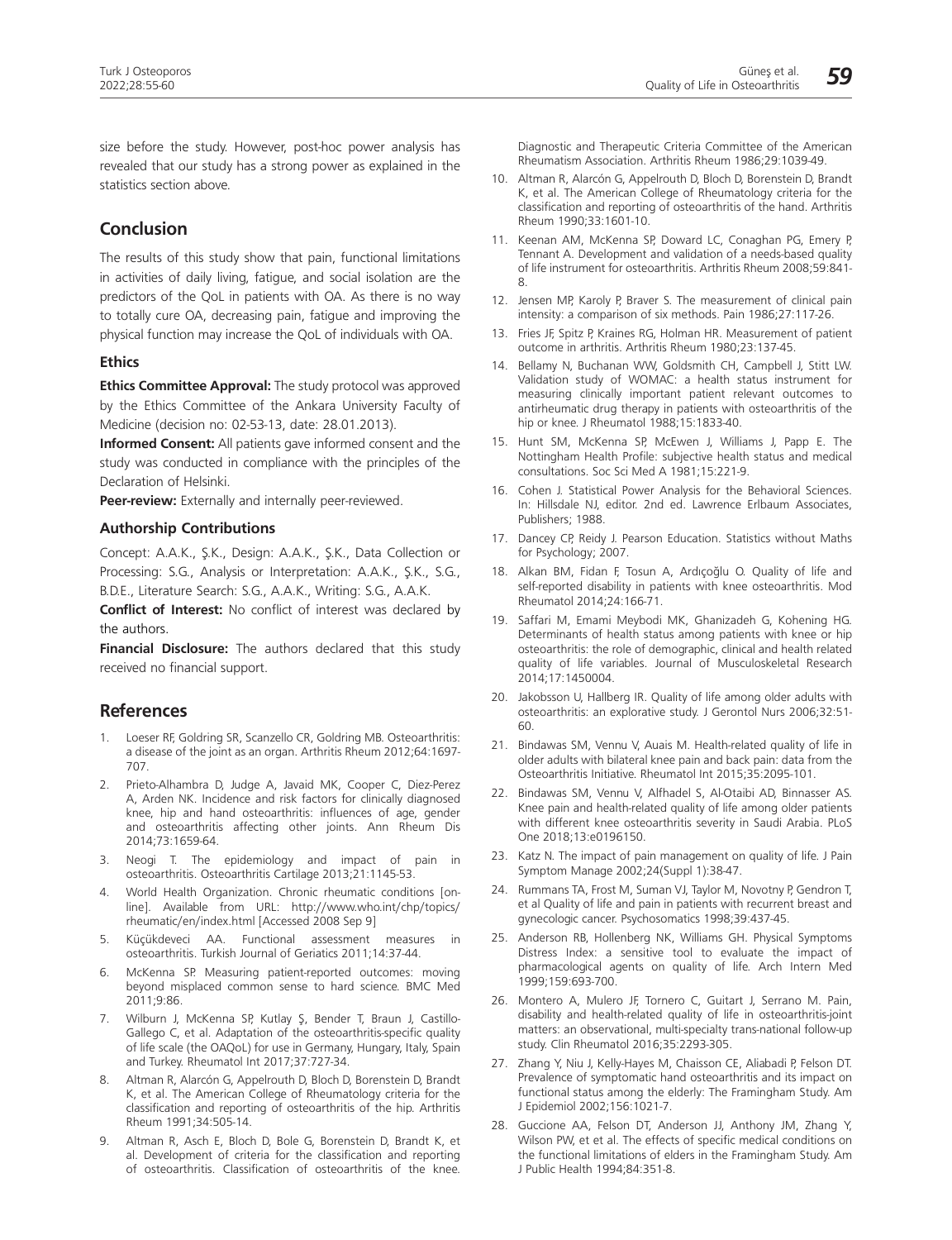size before the study. However, post-hoc power analysis has revealed that our study has a strong power as explained in the statistics section above.

## **Conclusion**

The results of this study show that pain, functional limitations in activities of daily living, fatigue, and social isolation are the predictors of the QoL in patients with OA. As there is no way to totally cure OA, decreasing pain, fatigue and improving the physical function may increase the QoL of individuals with OA.

#### **Ethics**

**Ethics Committee Approval:** The study protocol was approved by the Ethics Committee of the Ankara University Faculty of Medicine (decision no: 02-53-13, date: 28.01.2013).

**Informed Consent:** All patients gave informed consent and the study was conducted in compliance with the principles of the Declaration of Helsinki.

**Peer-review:** Externally and internally peer-reviewed.

#### **Authorship Contributions**

Concept: A.A.K., Ş.K., Design: A.A.K., Ş.K., Data Collection or Processing: S.G., Analysis or Interpretation: A.A.K., Ş.K., S.G., B.D.E., Literature Search: S.G., A.A.K., Writing: S.G., A.A.K.

**Conflict of Interest:** No conflict of interest was declared by the authors.

**Financial Disclosure:** The authors declared that this study received no financial support.

## **References**

- 1. Loeser RF, Goldring SR, Scanzello CR, Goldring MB. Osteoarthritis: a disease of the joint as an organ. Arthritis Rheum 2012;64:1697- 707.
- 2. Prieto-Alhambra D, Judge A, Javaid MK, Cooper C, Diez-Perez A, Arden NK. Incidence and risk factors for clinically diagnosed knee, hip and hand osteoarthritis: influences of age, gender and osteoarthritis affecting other joints. Ann Rheum Dis 2014;73:1659-64.
- 3. Neogi T. The epidemiology and impact of pain in osteoarthritis. Osteoarthritis Cartilage 2013;21:1145-53.
- 4. World Health Organization. Chronic rheumatic conditions [online]. Available from URL: http://www.who.int/chp/topics/ rheumatic/en/index.html [Accessed 2008 Sep 9]
- 5. Küçükdeveci AA. Functional assessment measures in osteoarthritis. Turkish Journal of Geriatics 2011;14:37-44.
- 6. McKenna SP. Measuring patient-reported outcomes: moving beyond misplaced common sense to hard science. BMC Med 2011;9:86.
- 7. Wilburn J, McKenna SP, Kutlay Ş, Bender T, Braun J, Castillo-Gallego C, et al. Adaptation of the osteoarthritis-specific quality of life scale (the OAQoL) for use in Germany, Hungary, Italy, Spain and Turkey. Rheumatol Int 2017;37:727-34.
- Altman R, Alarcón G, Appelrouth D, Bloch D, Borenstein D, Brandt K, et al. The American College of Rheumatology criteria for the classification and reporting of osteoarthritis of the hip. Arthritis Rheum 1991;34:505-14.
- 9. Altman R, Asch E, Bloch D, Bole G, Borenstein D, Brandt K, et al. Development of criteria for the classification and reporting of osteoarthritis. Classification of osteoarthritis of the knee.

Diagnostic and Therapeutic Criteria Committee of the American Rheumatism Association. Arthritis Rheum 1986;29:1039-49.

- 10. Altman R, Alarcón G, Appelrouth D, Bloch D, Borenstein D, Brandt K, et al. The American College of Rheumatology criteria for the classification and reporting of osteoarthritis of the hand. Arthritis Rheum 1990;33:1601-10.
- 11. Keenan AM, McKenna SP, Doward LC, Conaghan PG, Emery P, Tennant A. Development and validation of a needs-based quality of life instrument for osteoarthritis. Arthritis Rheum 2008;59:841- 8.
- 12. Jensen MP, Karoly P, Braver S. The measurement of clinical pain intensity: a comparison of six methods. Pain 1986;27:117-26.
- 13. Fries JF, Spitz P, Kraines RG, Holman HR. Measurement of patient outcome in arthritis. Arthritis Rheum 1980;23:137-45.
- 14. Bellamy N, Buchanan WW, Goldsmith CH, Campbell J, Stitt LW. Validation study of WOMAC: a health status instrument for measuring clinically important patient relevant outcomes to antirheumatic drug therapy in patients with osteoarthritis of the hip or knee. J Rheumatol 1988;15:1833-40.
- 15. Hunt SM, McKenna SP, McEwen J, Williams J, Papp E. The Nottingham Health Profile: subjective health status and medical consultations. Soc Sci Med A 1981;15:221-9.
- 16. Cohen J. Statistical Power Analysis for the Behavioral Sciences. In: Hillsdale NJ, editor. 2nd ed. Lawrence Erlbaum Associates, Publishers; 1988.
- 17. Dancey CP, Reidy J. Pearson Education. Statistics without Maths for Psychology; 2007.
- 18. Alkan BM, Fidan F, Tosun A, Ardıçoğlu O. Quality of life and self-reported disability in patients with knee osteoarthritis. Mod Rheumatol 2014;24:166-71.
- 19. Saffari M, Emami Meybodi MK, Ghanizadeh G, Kohening HG. Determinants of health status among patients with knee or hip osteoarthritis: the role of demographic, clinical and health related quality of life variables. Journal of Musculoskeletal Research 2014;17:1450004.
- 20. Jakobsson U, Hallberg IR. Quality of life among older adults with osteoarthritis: an explorative study. J Gerontol Nurs 2006;32:51- 60.
- 21. Bindawas SM, Vennu V, Auais M. Health-related quality of life in older adults with bilateral knee pain and back pain: data from the Osteoarthritis Initiative. Rheumatol Int 2015;35:2095-101.
- 22. Bindawas SM, Vennu V, Alfhadel S, Al-Otaibi AD, Binnasser AS. Knee pain and health-related quality of life among older patients with different knee osteoarthritis severity in Saudi Arabia. PLoS One 2018;13:e0196150.
- 23. Katz N. The impact of pain management on quality of life. J Pain Symptom Manage 2002;24(Suppl 1):38-47.
- 24. Rummans TA, Frost M, Suman VJ, Taylor M, Novotny P, Gendron T, et al Quality of life and pain in patients with recurrent breast and gynecologic cancer. Psychosomatics 1998;39:437-45.
- 25. Anderson RB, Hollenberg NK, Williams GH. Physical Symptoms Distress Index: a sensitive tool to evaluate the impact of pharmacological agents on quality of life. Arch Intern Med 1999;159:693-700.
- 26. Montero A, Mulero JF, Tornero C, Guitart J, Serrano M. Pain, disability and health-related quality of life in osteoarthritis-joint matters: an observational, multi-specialty trans-national follow-up study. Clin Rheumatol 2016;35:2293-305.
- 27. Zhang Y, Niu J, Kelly-Hayes M, Chaisson CE, Aliabadi P, Felson DT. Prevalence of symptomatic hand osteoarthritis and its impact on functional status among the elderly: The Framingham Study. Am J Epidemiol 2002;156:1021-7.
- 28. Guccione AA, Felson DT, Anderson JJ, Anthony JM, Zhang Y, Wilson PW, et et al. The effects of specific medical conditions on the functional limitations of elders in the Framingham Study. Am J Public Health 1994;84:351-8.